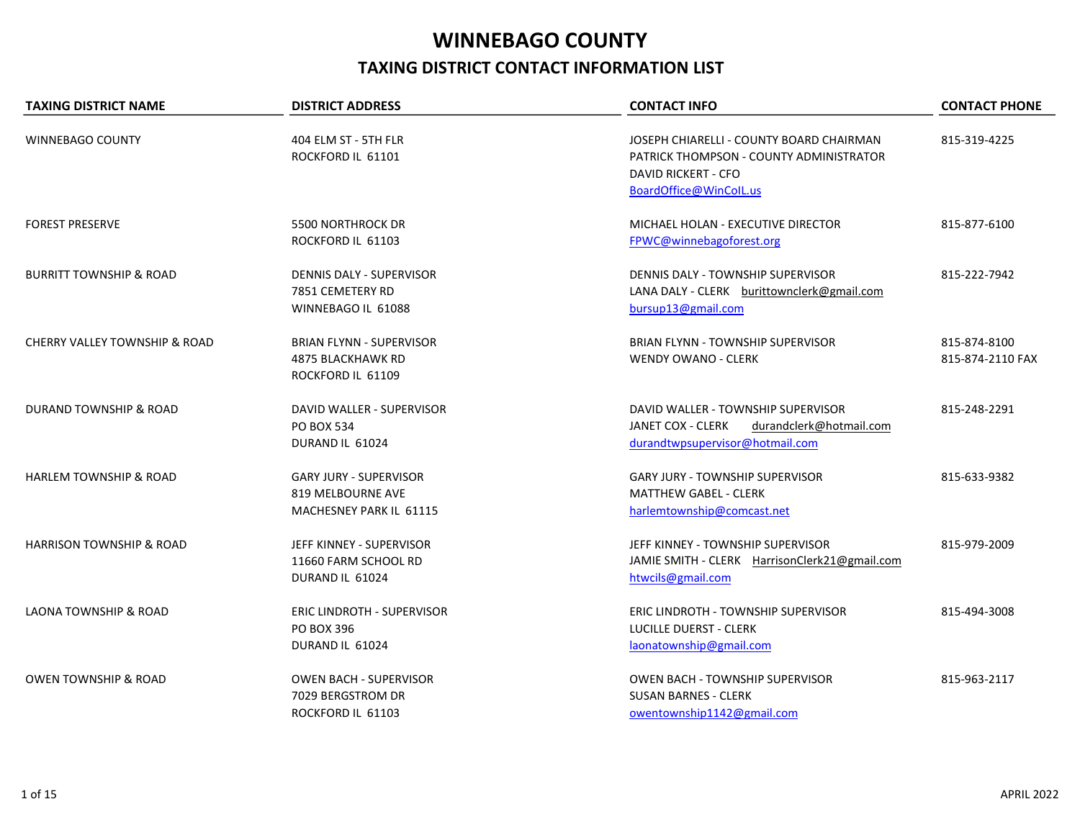## WINNEBAGO COUNTY TAXING DISTRICT CONTACT INFORMATION LIST

| <b>TAXING DISTRICT NAME</b>              | <b>DISTRICT ADDRESS</b>                                                       | <b>CONTACT INFO</b>                                                                                                                         | <b>CONTACT PHONE</b>             |
|------------------------------------------|-------------------------------------------------------------------------------|---------------------------------------------------------------------------------------------------------------------------------------------|----------------------------------|
| WINNEBAGO COUNTY                         | 404 ELM ST - 5TH FLR<br>ROCKFORD IL 61101                                     | JOSEPH CHIARELLI - COUNTY BOARD CHAIRMAN<br>PATRICK THOMPSON - COUNTY ADMINISTRATOR<br><b>DAVID RICKERT - CFO</b><br>BoardOffice@WinColL.us | 815-319-4225                     |
| <b>FOREST PRESERVE</b>                   | <b>5500 NORTHROCK DR</b><br>ROCKFORD IL 61103                                 | MICHAEL HOLAN - EXECUTIVE DIRECTOR<br>FPWC@winnebagoforest.org                                                                              | 815-877-6100                     |
| <b>BURRITT TOWNSHIP &amp; ROAD</b>       | DENNIS DALY - SUPERVISOR<br>7851 CEMETERY RD<br>WINNEBAGO IL 61088            | DENNIS DALY - TOWNSHIP SUPERVISOR<br>LANA DALY - CLERK burittownclerk@gmail.com<br>bursup13@gmail.com                                       | 815-222-7942                     |
| <b>CHERRY VALLEY TOWNSHIP &amp; ROAD</b> | <b>BRIAN FLYNN - SUPERVISOR</b><br>4875 BLACKHAWK RD<br>ROCKFORD IL 61109     | BRIAN FLYNN - TOWNSHIP SUPERVISOR<br><b>WENDY OWANO - CLERK</b>                                                                             | 815-874-8100<br>815-874-2110 FAX |
| DURAND TOWNSHIP & ROAD                   | DAVID WALLER - SUPERVISOR<br><b>PO BOX 534</b><br>DURAND IL 61024             | DAVID WALLER - TOWNSHIP SUPERVISOR<br>JANET COX - CLERK<br>durandclerk@hotmail.com<br>durandtwpsupervisor@hotmail.com                       | 815-248-2291                     |
| <b>HARLEM TOWNSHIP &amp; ROAD</b>        | <b>GARY JURY - SUPERVISOR</b><br>819 MELBOURNE AVE<br>MACHESNEY PARK IL 61115 | <b>GARY JURY - TOWNSHIP SUPERVISOR</b><br><b>MATTHEW GABEL - CLERK</b><br>harlemtownship@comcast.net                                        | 815-633-9382                     |
| <b>HARRISON TOWNSHIP &amp; ROAD</b>      | JEFF KINNEY - SUPERVISOR<br>11660 FARM SCHOOL RD<br>DURAND IL 61024           | JEFF KINNEY - TOWNSHIP SUPERVISOR<br>JAMIE SMITH - CLERK HarrisonClerk21@gmail.com<br>htwcils@gmail.com                                     | 815-979-2009                     |
| <b>LAONA TOWNSHIP &amp; ROAD</b>         | <b>ERIC LINDROTH - SUPERVISOR</b><br>PO BOX 396<br>DURAND IL 61024            | ERIC LINDROTH - TOWNSHIP SUPERVISOR<br><b>LUCILLE DUERST - CLERK</b><br>laonatownship@gmail.com                                             | 815-494-3008                     |
| <b>OWEN TOWNSHIP &amp; ROAD</b>          | OWEN BACH - SUPERVISOR<br>7029 BERGSTROM DR<br>ROCKFORD IL 61103              | OWEN BACH - TOWNSHIP SUPERVISOR<br><b>SUSAN BARNES - CLERK</b><br>owentownship1142@gmail.com                                                | 815-963-2117                     |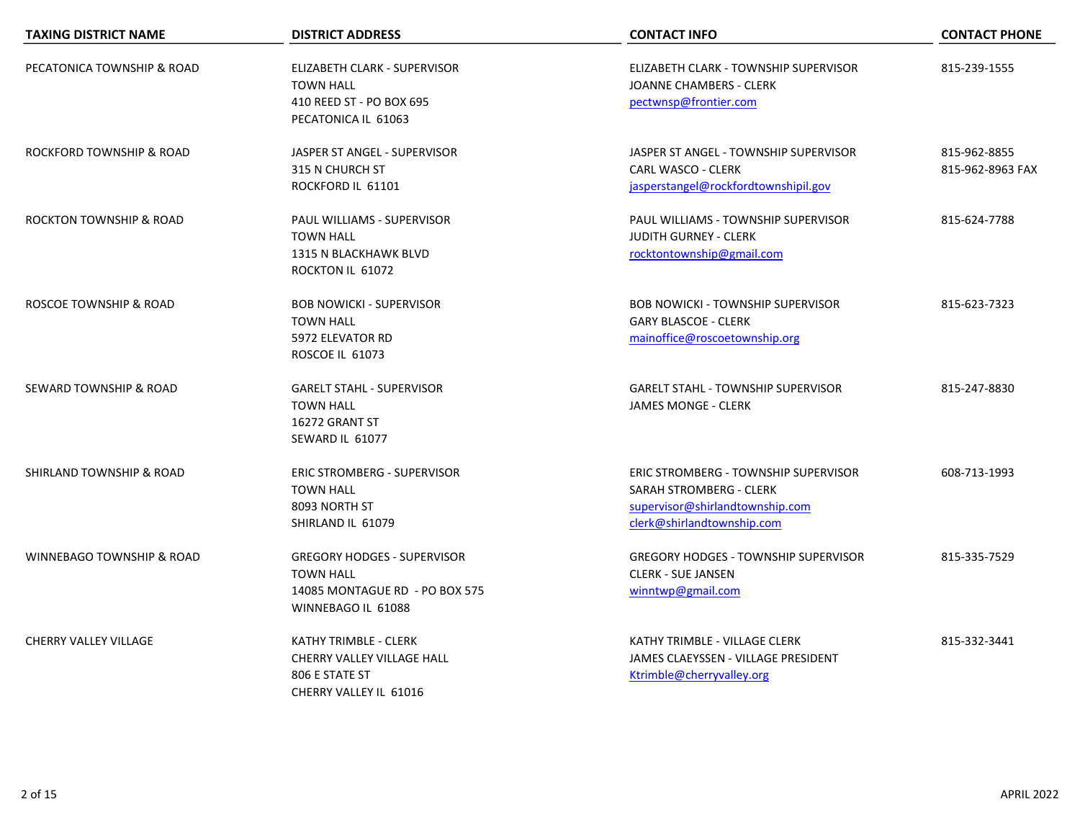| <b>TAXING DISTRICT NAME</b>          | <b>DISTRICT ADDRESS</b>                                                                                        | <b>CONTACT INFO</b>                                                                                                                            | <b>CONTACT PHONE</b>             |
|--------------------------------------|----------------------------------------------------------------------------------------------------------------|------------------------------------------------------------------------------------------------------------------------------------------------|----------------------------------|
| PECATONICA TOWNSHIP & ROAD           | ELIZABETH CLARK - SUPERVISOR<br><b>TOWN HALL</b><br>410 REED ST - PO BOX 695<br>PECATONICA IL 61063            | ELIZABETH CLARK - TOWNSHIP SUPERVISOR<br><b>JOANNE CHAMBERS - CLERK</b><br>pectwnsp@frontier.com                                               | 815-239-1555                     |
| ROCKFORD TOWNSHIP & ROAD             | JASPER ST ANGEL - SUPERVISOR<br>315 N CHURCH ST<br>ROCKFORD IL 61101                                           | JASPER ST ANGEL - TOWNSHIP SUPERVISOR<br><b>CARL WASCO - CLERK</b><br>jasperstangel@rockfordtownshipil.gov                                     | 815-962-8855<br>815-962-8963 FAX |
| <b>ROCKTON TOWNSHIP &amp; ROAD</b>   | PAUL WILLIAMS - SUPERVISOR<br><b>TOWN HALL</b><br>1315 N BLACKHAWK BLVD<br>ROCKTON IL 61072                    | PAUL WILLIAMS - TOWNSHIP SUPERVISOR<br><b>JUDITH GURNEY - CLERK</b><br>rocktontownship@gmail.com                                               | 815-624-7788                     |
| ROSCOE TOWNSHIP & ROAD               | <b>BOB NOWICKI - SUPERVISOR</b><br><b>TOWN HALL</b><br>5972 ELEVATOR RD<br>ROSCOE IL 61073                     | <b>BOB NOWICKI - TOWNSHIP SUPERVISOR</b><br><b>GARY BLASCOE - CLERK</b><br>mainoffice@roscoetownship.org                                       | 815-623-7323                     |
| SEWARD TOWNSHIP & ROAD               | <b>GARELT STAHL - SUPERVISOR</b><br><b>TOWN HALL</b><br>16272 GRANT ST<br>SEWARD IL 61077                      | <b>GARELT STAHL - TOWNSHIP SUPERVISOR</b><br><b>JAMES MONGE - CLERK</b>                                                                        | 815-247-8830                     |
| SHIRLAND TOWNSHIP & ROAD             | <b>ERIC STROMBERG - SUPERVISOR</b><br><b>TOWN HALL</b><br>8093 NORTH ST<br>SHIRLAND IL 61079                   | <b>ERIC STROMBERG - TOWNSHIP SUPERVISOR</b><br><b>SARAH STROMBERG - CLERK</b><br>supervisor@shirlandtownship.com<br>clerk@shirlandtownship.com | 608-713-1993                     |
| <b>WINNEBAGO TOWNSHIP &amp; ROAD</b> | <b>GREGORY HODGES - SUPERVISOR</b><br><b>TOWN HALL</b><br>14085 MONTAGUE RD - PO BOX 575<br>WINNEBAGO IL 61088 | <b>GREGORY HODGES - TOWNSHIP SUPERVISOR</b><br><b>CLERK - SUE JANSEN</b><br>winntwp@gmail.com                                                  | 815-335-7529                     |
| <b>CHERRY VALLEY VILLAGE</b>         | KATHY TRIMBLE - CLERK<br>CHERRY VALLEY VILLAGE HALL<br>806 E STATE ST<br>CHERRY VALLEY IL 61016                | KATHY TRIMBLE - VILLAGE CLERK<br>JAMES CLAEYSSEN - VILLAGE PRESIDENT<br>Ktrimble@cherryvalley.org                                              | 815-332-3441                     |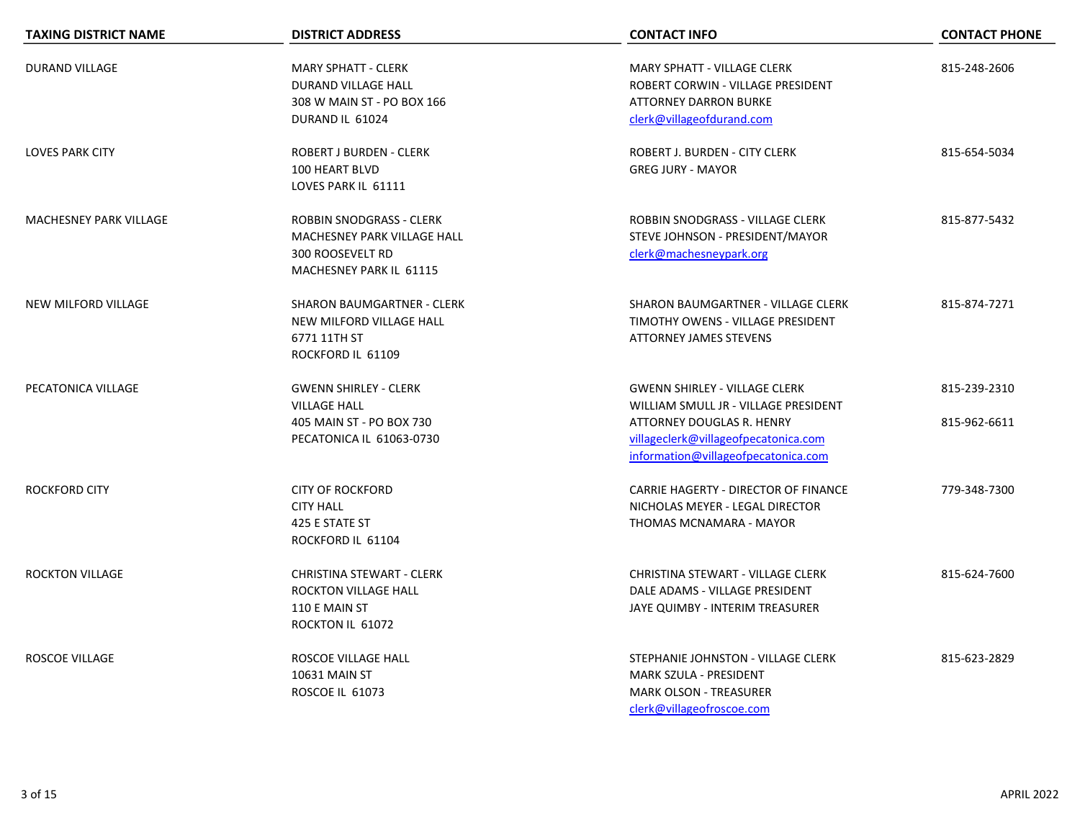| <b>TAXING DISTRICT NAME</b> | <b>DISTRICT ADDRESS</b>                                                                                       | <b>CONTACT INFO</b>                                                                                                                                                                      | <b>CONTACT PHONE</b>         |
|-----------------------------|---------------------------------------------------------------------------------------------------------------|------------------------------------------------------------------------------------------------------------------------------------------------------------------------------------------|------------------------------|
| <b>DURAND VILLAGE</b>       | <b>MARY SPHATT - CLERK</b><br><b>DURAND VILLAGE HALL</b><br>308 W MAIN ST - PO BOX 166<br>DURAND IL 61024     | <b>MARY SPHATT - VILLAGE CLERK</b><br>ROBERT CORWIN - VILLAGE PRESIDENT<br><b>ATTORNEY DARRON BURKE</b><br>clerk@villageofdurand.com                                                     | 815-248-2606                 |
| <b>LOVES PARK CITY</b>      | <b>ROBERT J BURDEN - CLERK</b><br>100 HEART BLVD<br>LOVES PARK IL 61111                                       | ROBERT J. BURDEN - CITY CLERK<br><b>GREG JURY - MAYOR</b>                                                                                                                                | 815-654-5034                 |
| MACHESNEY PARK VILLAGE      | ROBBIN SNODGRASS - CLERK<br>MACHESNEY PARK VILLAGE HALL<br><b>300 ROOSEVELT RD</b><br>MACHESNEY PARK IL 61115 | ROBBIN SNODGRASS - VILLAGE CLERK<br>STEVE JOHNSON - PRESIDENT/MAYOR<br>clerk@machesneypark.org                                                                                           | 815-877-5432                 |
| NEW MILFORD VILLAGE         | <b>SHARON BAUMGARTNER - CLERK</b><br>NEW MILFORD VILLAGE HALL<br>6771 11TH ST<br>ROCKFORD IL 61109            | SHARON BAUMGARTNER - VILLAGE CLERK<br>TIMOTHY OWENS - VILLAGE PRESIDENT<br><b>ATTORNEY JAMES STEVENS</b>                                                                                 | 815-874-7271                 |
| PECATONICA VILLAGE          | <b>GWENN SHIRLEY - CLERK</b><br><b>VILLAGE HALL</b><br>405 MAIN ST - PO BOX 730<br>PECATONICA IL 61063-0730   | <b>GWENN SHIRLEY - VILLAGE CLERK</b><br>WILLIAM SMULL JR - VILLAGE PRESIDENT<br>ATTORNEY DOUGLAS R. HENRY<br>villageclerk@villageofpecatonica.com<br>information@villageofpecatonica.com | 815-239-2310<br>815-962-6611 |
| <b>ROCKFORD CITY</b>        | <b>CITY OF ROCKFORD</b><br><b>CITY HALL</b><br>425 E STATE ST<br>ROCKFORD IL 61104                            | CARRIE HAGERTY - DIRECTOR OF FINANCE<br>NICHOLAS MEYER - LEGAL DIRECTOR<br>THOMAS MCNAMARA - MAYOR                                                                                       | 779-348-7300                 |
| <b>ROCKTON VILLAGE</b>      | CHRISTINA STEWART - CLERK<br>ROCKTON VILLAGE HALL<br>110 E MAIN ST<br>ROCKTON IL 61072                        | CHRISTINA STEWART - VILLAGE CLERK<br>DALE ADAMS - VILLAGE PRESIDENT<br>JAYE QUIMBY - INTERIM TREASURER                                                                                   | 815-624-7600                 |
| ROSCOE VILLAGE              | ROSCOE VILLAGE HALL<br>10631 MAIN ST<br>ROSCOE IL 61073                                                       | STEPHANIE JOHNSTON - VILLAGE CLERK<br>MARK SZULA - PRESIDENT<br>MARK OLSON - TREASURER<br>clerk@villageofroscoe.com                                                                      | 815-623-2829                 |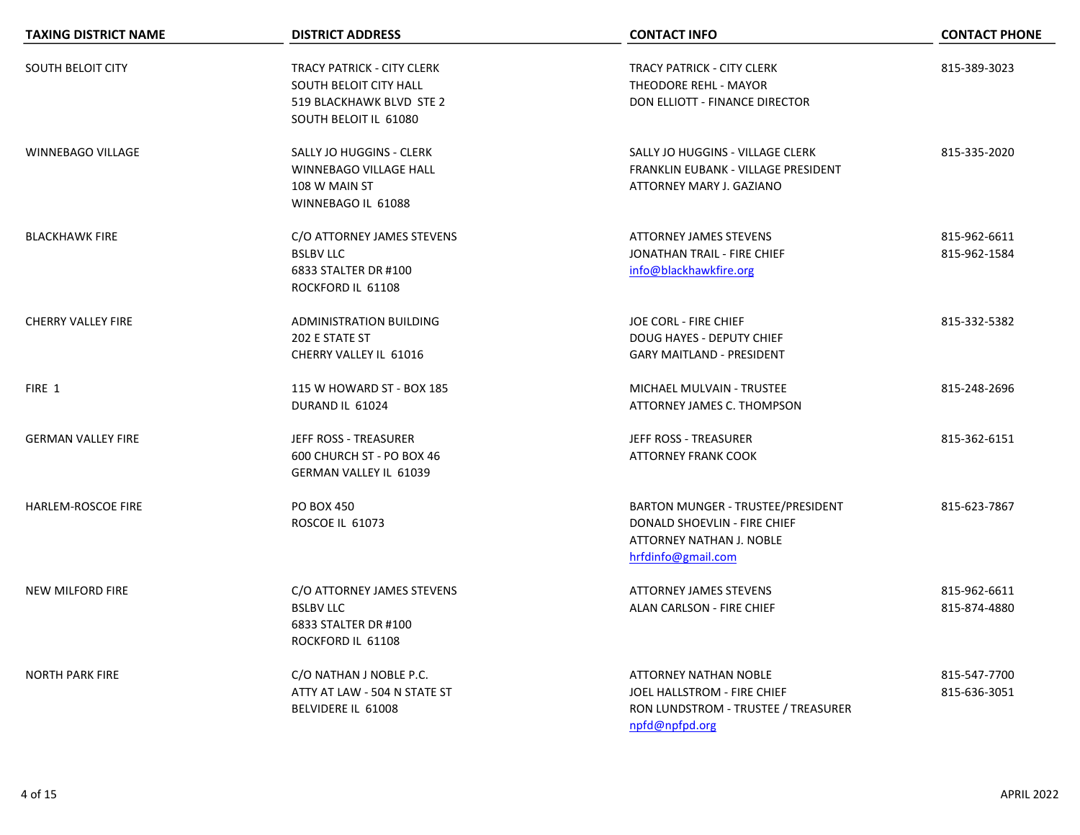| <b>TAXING DISTRICT NAME</b> | <b>DISTRICT ADDRESS</b>                                                                                          | <b>CONTACT INFO</b>                                                                                                  | <b>CONTACT PHONE</b>         |
|-----------------------------|------------------------------------------------------------------------------------------------------------------|----------------------------------------------------------------------------------------------------------------------|------------------------------|
| <b>SOUTH BELOIT CITY</b>    | <b>TRACY PATRICK - CITY CLERK</b><br>SOUTH BELOIT CITY HALL<br>519 BLACKHAWK BLVD STE 2<br>SOUTH BELOIT IL 61080 | <b>TRACY PATRICK - CITY CLERK</b><br><b>THEODORE REHL - MAYOR</b><br>DON ELLIOTT - FINANCE DIRECTOR                  | 815-389-3023                 |
| <b>WINNEBAGO VILLAGE</b>    | SALLY JO HUGGINS - CLERK<br>WINNEBAGO VILLAGE HALL<br>108 W MAIN ST<br>WINNEBAGO IL 61088                        | SALLY JO HUGGINS - VILLAGE CLERK<br>FRANKLIN EUBANK - VILLAGE PRESIDENT<br>ATTORNEY MARY J. GAZIANO                  | 815-335-2020                 |
| <b>BLACKHAWK FIRE</b>       | C/O ATTORNEY JAMES STEVENS<br><b>BSLBV LLC</b><br>6833 STALTER DR #100<br>ROCKFORD IL 61108                      | <b>ATTORNEY JAMES STEVENS</b><br>JONATHAN TRAIL - FIRE CHIEF<br>info@blackhawkfire.org                               | 815-962-6611<br>815-962-1584 |
| <b>CHERRY VALLEY FIRE</b>   | ADMINISTRATION BUILDING<br>202 E STATE ST<br>CHERRY VALLEY IL 61016                                              | JOE CORL - FIRE CHIEF<br><b>DOUG HAYES - DEPUTY CHIEF</b><br><b>GARY MAITLAND - PRESIDENT</b>                        | 815-332-5382                 |
| FIRE 1                      | 115 W HOWARD ST - BOX 185<br>DURAND IL 61024                                                                     | MICHAEL MULVAIN - TRUSTEE<br>ATTORNEY JAMES C. THOMPSON                                                              | 815-248-2696                 |
| <b>GERMAN VALLEY FIRE</b>   | JEFF ROSS - TREASURER<br>600 CHURCH ST - PO BOX 46<br><b>GERMAN VALLEY IL 61039</b>                              | <b>JEFF ROSS - TREASURER</b><br><b>ATTORNEY FRANK COOK</b>                                                           | 815-362-6151                 |
| HARLEM-ROSCOE FIRE          | <b>PO BOX 450</b><br>ROSCOE IL 61073                                                                             | BARTON MUNGER - TRUSTEE/PRESIDENT<br>DONALD SHOEVLIN - FIRE CHIEF<br>ATTORNEY NATHAN J. NOBLE<br>hrfdinfo@gmail.com  | 815-623-7867                 |
| <b>NEW MILFORD FIRE</b>     | C/O ATTORNEY JAMES STEVENS<br><b>BSLBV LLC</b><br>6833 STALTER DR #100<br>ROCKFORD IL 61108                      | <b>ATTORNEY JAMES STEVENS</b><br>ALAN CARLSON - FIRE CHIEF                                                           | 815-962-6611<br>815-874-4880 |
| <b>NORTH PARK FIRE</b>      | C/O NATHAN J NOBLE P.C.<br>ATTY AT LAW - 504 N STATE ST<br>BELVIDERE IL 61008                                    | <b>ATTORNEY NATHAN NOBLE</b><br>JOEL HALLSTROM - FIRE CHIEF<br>RON LUNDSTROM - TRUSTEE / TREASURER<br>npfd@npfpd.org | 815-547-7700<br>815-636-3051 |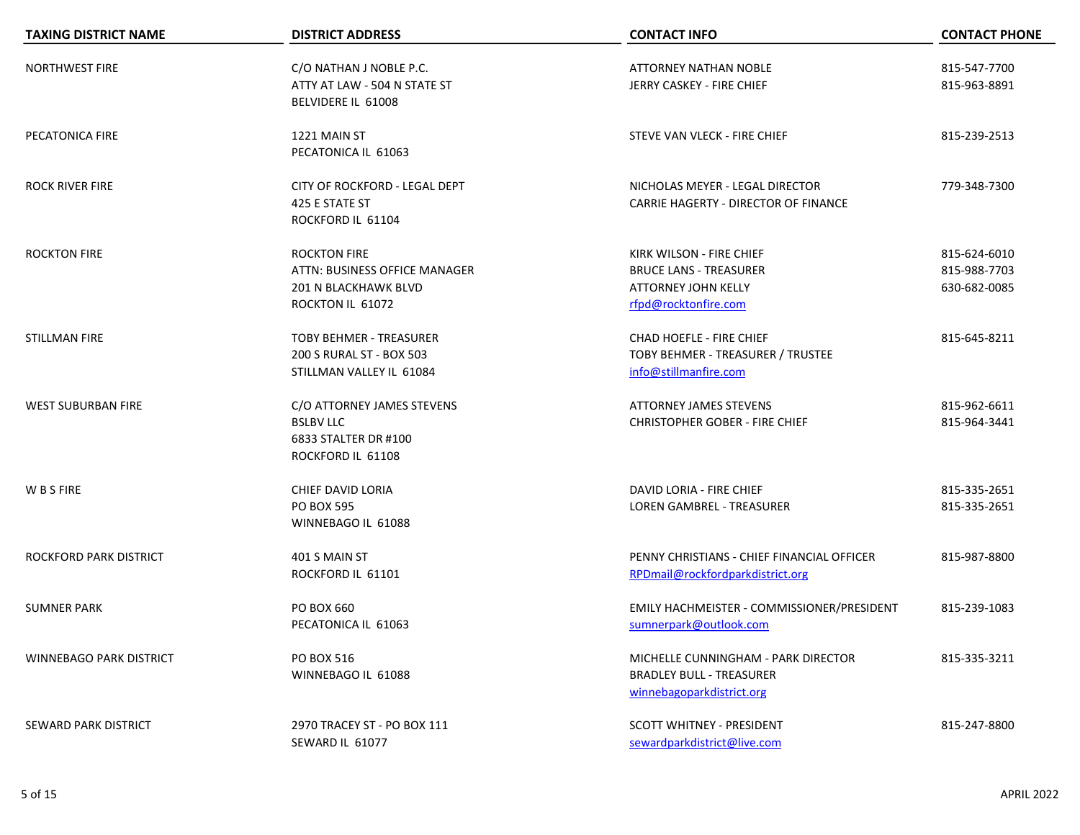| <b>TAXING DISTRICT NAME</b>    | <b>DISTRICT ADDRESS</b>                                                                          | <b>CONTACT INFO</b>                                                                                             | <b>CONTACT PHONE</b>                         |
|--------------------------------|--------------------------------------------------------------------------------------------------|-----------------------------------------------------------------------------------------------------------------|----------------------------------------------|
| <b>NORTHWEST FIRE</b>          | C/O NATHAN J NOBLE P.C.<br>ATTY AT LAW - 504 N STATE ST<br>BELVIDERE IL 61008                    | ATTORNEY NATHAN NOBLE<br>JERRY CASKEY - FIRE CHIEF                                                              | 815-547-7700<br>815-963-8891                 |
| PECATONICA FIRE                | 1221 MAIN ST<br>PECATONICA IL 61063                                                              | STEVE VAN VLECK - FIRE CHIEF                                                                                    | 815-239-2513                                 |
| <b>ROCK RIVER FIRE</b>         | CITY OF ROCKFORD - LEGAL DEPT<br>425 E STATE ST<br>ROCKFORD IL 61104                             | NICHOLAS MEYER - LEGAL DIRECTOR<br>CARRIE HAGERTY - DIRECTOR OF FINANCE                                         | 779-348-7300                                 |
| <b>ROCKTON FIRE</b>            | <b>ROCKTON FIRE</b><br>ATTN: BUSINESS OFFICE MANAGER<br>201 N BLACKHAWK BLVD<br>ROCKTON IL 61072 | KIRK WILSON - FIRE CHIEF<br><b>BRUCE LANS - TREASURER</b><br><b>ATTORNEY JOHN KELLY</b><br>rfpd@rocktonfire.com | 815-624-6010<br>815-988-7703<br>630-682-0085 |
| STILLMAN FIRE                  | <b>TOBY BEHMER - TREASURER</b><br>200 S RURAL ST - BOX 503<br>STILLMAN VALLEY IL 61084           | CHAD HOEFLE - FIRE CHIEF<br>TOBY BEHMER - TREASURER / TRUSTEE<br>info@stillmanfire.com                          | 815-645-8211                                 |
| <b>WEST SUBURBAN FIRE</b>      | C/O ATTORNEY JAMES STEVENS<br><b>BSLBV LLC</b><br>6833 STALTER DR #100<br>ROCKFORD IL 61108      | <b>ATTORNEY JAMES STEVENS</b><br><b>CHRISTOPHER GOBER - FIRE CHIEF</b>                                          | 815-962-6611<br>815-964-3441                 |
| W B S FIRE                     | CHIEF DAVID LORIA<br><b>PO BOX 595</b><br>WINNEBAGO IL 61088                                     | DAVID LORIA - FIRE CHIEF<br><b>LOREN GAMBREL - TREASURER</b>                                                    | 815-335-2651<br>815-335-2651                 |
| ROCKFORD PARK DISTRICT         | 401 S MAIN ST<br>ROCKFORD IL 61101                                                               | PENNY CHRISTIANS - CHIEF FINANCIAL OFFICER<br>RPDmail@rockfordparkdistrict.org                                  | 815-987-8800                                 |
| <b>SUMNER PARK</b>             | PO BOX 660<br>PECATONICA IL 61063                                                                | EMILY HACHMEISTER - COMMISSIONER/PRESIDENT<br>sumnerpark@outlook.com                                            | 815-239-1083                                 |
| <b>WINNEBAGO PARK DISTRICT</b> | <b>PO BOX 516</b><br>WINNEBAGO IL 61088                                                          | MICHELLE CUNNINGHAM - PARK DIRECTOR<br><b>BRADLEY BULL - TREASURER</b><br>winnebagoparkdistrict.org             | 815-335-3211                                 |
| <b>SEWARD PARK DISTRICT</b>    | 2970 TRACEY ST - PO BOX 111<br>SEWARD IL 61077                                                   | SCOTT WHITNEY - PRESIDENT<br>sewardparkdistrict@live.com                                                        | 815-247-8800                                 |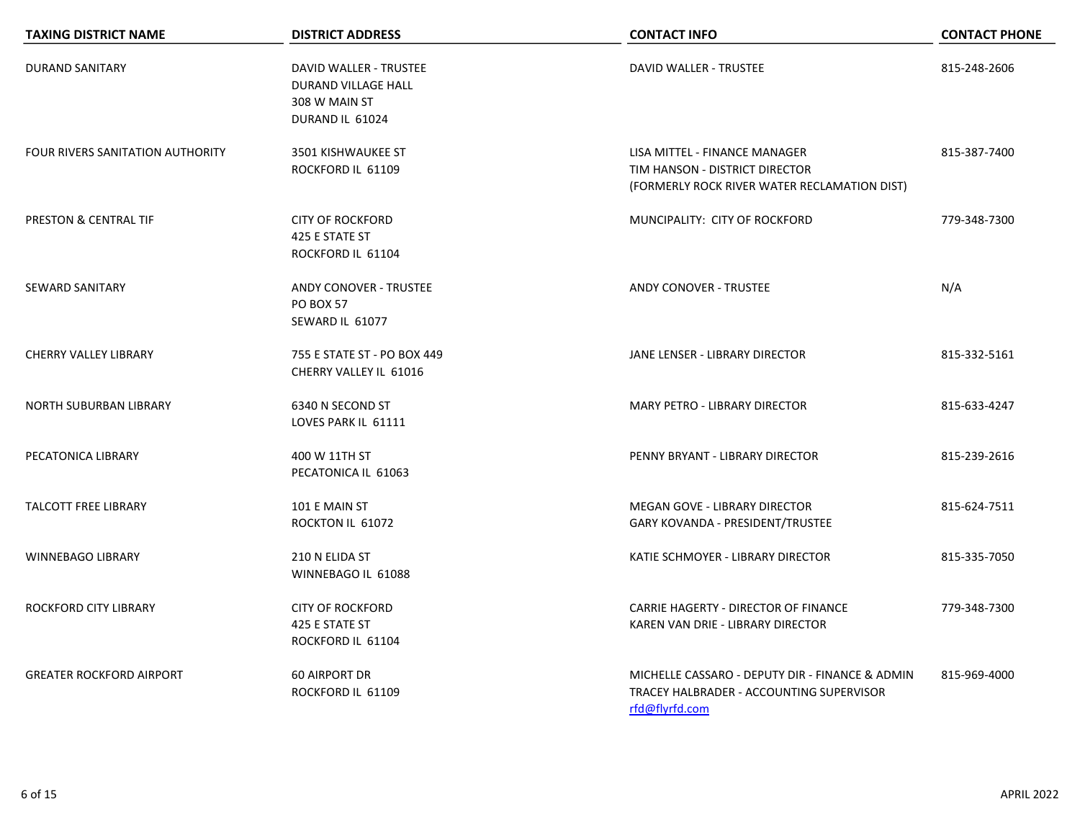| <b>TAXING DISTRICT NAME</b>             | <b>DISTRICT ADDRESS</b>                                                           | <b>CONTACT INFO</b>                                                                                             | <b>CONTACT PHONE</b> |
|-----------------------------------------|-----------------------------------------------------------------------------------|-----------------------------------------------------------------------------------------------------------------|----------------------|
| <b>DURAND SANITARY</b>                  | DAVID WALLER - TRUSTEE<br>DURAND VILLAGE HALL<br>308 W MAIN ST<br>DURAND IL 61024 | DAVID WALLER - TRUSTEE                                                                                          | 815-248-2606         |
| <b>FOUR RIVERS SANITATION AUTHORITY</b> | 3501 KISHWAUKEE ST<br>ROCKFORD IL 61109                                           | LISA MITTEL - FINANCE MANAGER<br>TIM HANSON - DISTRICT DIRECTOR<br>(FORMERLY ROCK RIVER WATER RECLAMATION DIST) | 815-387-7400         |
| PRESTON & CENTRAL TIF                   | <b>CITY OF ROCKFORD</b><br>425 E STATE ST<br>ROCKFORD IL 61104                    | MUNCIPALITY: CITY OF ROCKFORD                                                                                   | 779-348-7300         |
| <b>SEWARD SANITARY</b>                  | <b>ANDY CONOVER - TRUSTEE</b><br><b>PO BOX 57</b><br>SEWARD IL 61077              | <b>ANDY CONOVER - TRUSTEE</b>                                                                                   | N/A                  |
| CHERRY VALLEY LIBRARY                   | 755 E STATE ST - PO BOX 449<br>CHERRY VALLEY IL 61016                             | JANE LENSER - LIBRARY DIRECTOR                                                                                  | 815-332-5161         |
| NORTH SUBURBAN LIBRARY                  | 6340 N SECOND ST<br>LOVES PARK IL 61111                                           | MARY PETRO - LIBRARY DIRECTOR                                                                                   | 815-633-4247         |
| PECATONICA LIBRARY                      | 400 W 11TH ST<br>PECATONICA IL 61063                                              | PENNY BRYANT - LIBRARY DIRECTOR                                                                                 | 815-239-2616         |
| <b>TALCOTT FREE LIBRARY</b>             | 101 E MAIN ST<br>ROCKTON IL 61072                                                 | MEGAN GOVE - LIBRARY DIRECTOR<br>GARY KOVANDA - PRESIDENT/TRUSTEE                                               | 815-624-7511         |
| <b>WINNEBAGO LIBRARY</b>                | 210 N ELIDA ST<br>WINNEBAGO IL 61088                                              | KATIE SCHMOYER - LIBRARY DIRECTOR                                                                               | 815-335-7050         |
| <b>ROCKFORD CITY LIBRARY</b>            | <b>CITY OF ROCKFORD</b><br>425 E STATE ST<br>ROCKFORD IL 61104                    | CARRIE HAGERTY - DIRECTOR OF FINANCE<br>KAREN VAN DRIE - LIBRARY DIRECTOR                                       | 779-348-7300         |
| <b>GREATER ROCKFORD AIRPORT</b>         | <b>60 AIRPORT DR</b><br>ROCKFORD IL 61109                                         | MICHELLE CASSARO - DEPUTY DIR - FINANCE & ADMIN<br>TRACEY HALBRADER - ACCOUNTING SUPERVISOR<br>rfd@flyrfd.com   | 815-969-4000         |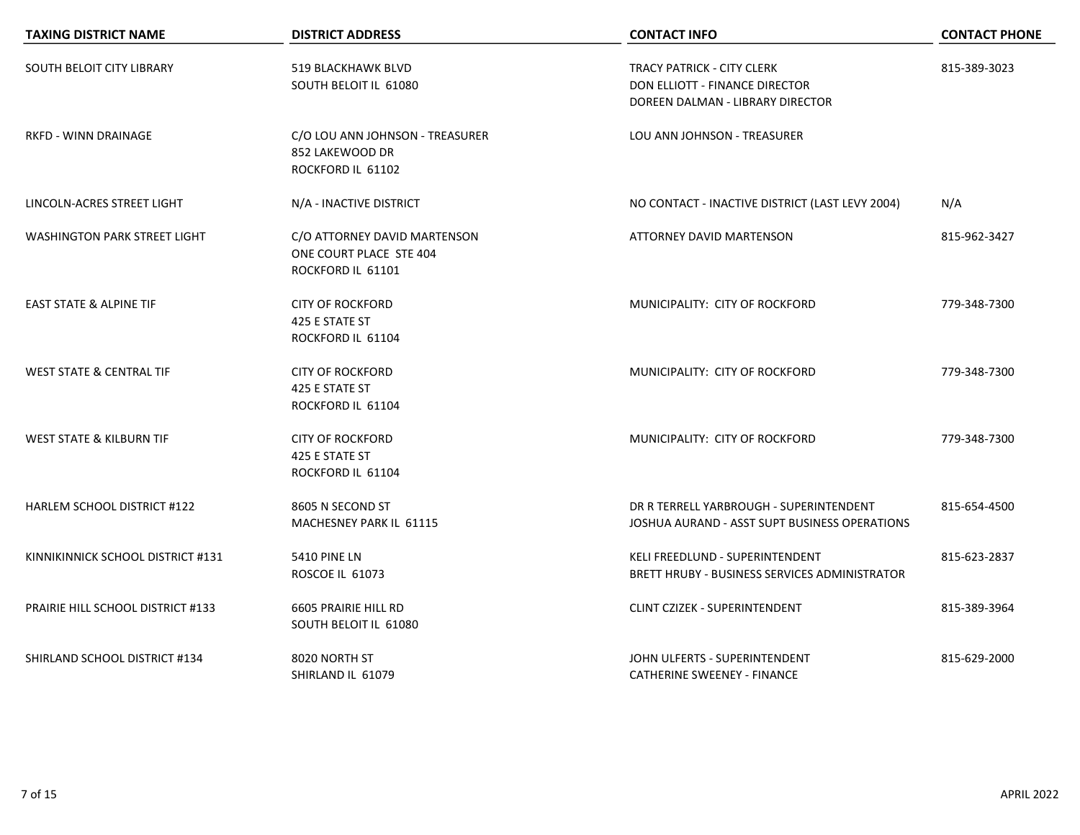| <b>TAXING DISTRICT NAME</b>         | <b>DISTRICT ADDRESS</b>                                                      | <b>CONTACT INFO</b>                                                                                     | <b>CONTACT PHONE</b> |
|-------------------------------------|------------------------------------------------------------------------------|---------------------------------------------------------------------------------------------------------|----------------------|
| SOUTH BELOIT CITY LIBRARY           | 519 BLACKHAWK BLVD<br>SOUTH BELOIT IL 61080                                  | <b>TRACY PATRICK - CITY CLERK</b><br>DON ELLIOTT - FINANCE DIRECTOR<br>DOREEN DALMAN - LIBRARY DIRECTOR | 815-389-3023         |
| <b>RKFD - WINN DRAINAGE</b>         | C/O LOU ANN JOHNSON - TREASURER<br>852 LAKEWOOD DR<br>ROCKFORD IL 61102      | LOU ANN JOHNSON - TREASURER                                                                             |                      |
| LINCOLN-ACRES STREET LIGHT          | N/A - INACTIVE DISTRICT                                                      | NO CONTACT - INACTIVE DISTRICT (LAST LEVY 2004)                                                         | N/A                  |
| <b>WASHINGTON PARK STREET LIGHT</b> | C/O ATTORNEY DAVID MARTENSON<br>ONE COURT PLACE STE 404<br>ROCKFORD IL 61101 | ATTORNEY DAVID MARTENSON                                                                                | 815-962-3427         |
| <b>EAST STATE &amp; ALPINE TIF</b>  | <b>CITY OF ROCKFORD</b><br>425 E STATE ST<br>ROCKFORD IL 61104               | MUNICIPALITY: CITY OF ROCKFORD                                                                          | 779-348-7300         |
| <b>WEST STATE &amp; CENTRAL TIF</b> | <b>CITY OF ROCKFORD</b><br>425 E STATE ST<br>ROCKFORD IL 61104               | MUNICIPALITY: CITY OF ROCKFORD                                                                          | 779-348-7300         |
| <b>WEST STATE &amp; KILBURN TIF</b> | <b>CITY OF ROCKFORD</b><br>425 E STATE ST<br>ROCKFORD IL 61104               | MUNICIPALITY: CITY OF ROCKFORD                                                                          | 779-348-7300         |
| HARLEM SCHOOL DISTRICT #122         | 8605 N SECOND ST<br>MACHESNEY PARK IL 61115                                  | DR R TERRELL YARBROUGH - SUPERINTENDENT<br>JOSHUA AURAND - ASST SUPT BUSINESS OPERATIONS                | 815-654-4500         |
| KINNIKINNICK SCHOOL DISTRICT #131   | <b>5410 PINE LN</b><br>ROSCOE IL 61073                                       | KELI FREEDLUND - SUPERINTENDENT<br>BRETT HRUBY - BUSINESS SERVICES ADMINISTRATOR                        | 815-623-2837         |
| PRAIRIE HILL SCHOOL DISTRICT #133   | 6605 PRAIRIE HILL RD<br>SOUTH BELOIT IL 61080                                | <b>CLINT CZIZEK - SUPERINTENDENT</b>                                                                    | 815-389-3964         |
| SHIRLAND SCHOOL DISTRICT #134       | 8020 NORTH ST<br>SHIRLAND IL 61079                                           | JOHN ULFERTS - SUPERINTENDENT<br><b>CATHERINE SWEENEY - FINANCE</b>                                     | 815-629-2000         |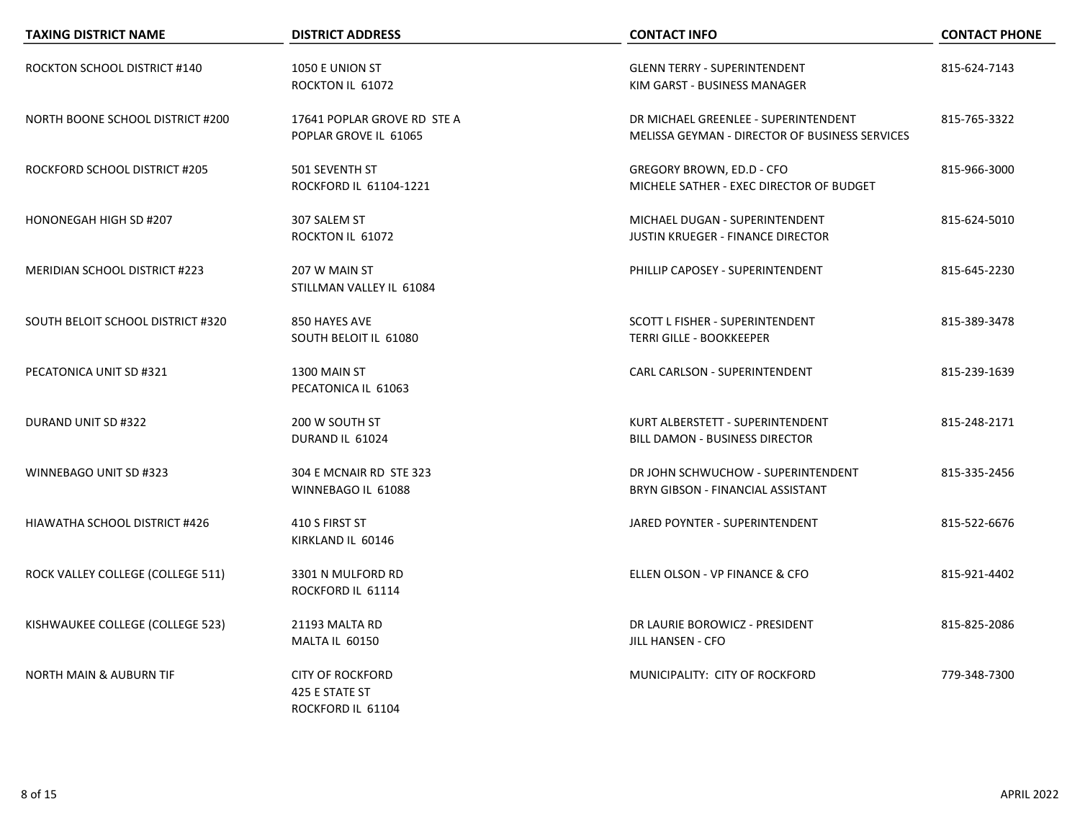| <b>TAXING DISTRICT NAME</b>             | <b>DISTRICT ADDRESS</b>                                        | <b>CONTACT INFO</b>                                                                    | <b>CONTACT PHONE</b> |
|-----------------------------------------|----------------------------------------------------------------|----------------------------------------------------------------------------------------|----------------------|
| ROCKTON SCHOOL DISTRICT #140            | 1050 E UNION ST<br>ROCKTON IL 61072                            | <b>GLENN TERRY - SUPERINTENDENT</b><br>KIM GARST - BUSINESS MANAGER                    | 815-624-7143         |
| <b>NORTH BOONE SCHOOL DISTRICT #200</b> | 17641 POPLAR GROVE RD STE A<br>POPLAR GROVE IL 61065           | DR MICHAEL GREENLEE - SUPERINTENDENT<br>MELISSA GEYMAN - DIRECTOR OF BUSINESS SERVICES | 815-765-3322         |
| ROCKFORD SCHOOL DISTRICT #205           | 501 SEVENTH ST<br>ROCKFORD IL 61104-1221                       | GREGORY BROWN, ED.D - CFO<br>MICHELE SATHER - EXEC DIRECTOR OF BUDGET                  | 815-966-3000         |
| HONONEGAH HIGH SD #207                  | 307 SALEM ST<br>ROCKTON IL 61072                               | MICHAEL DUGAN - SUPERINTENDENT<br><b>JUSTIN KRUEGER - FINANCE DIRECTOR</b>             | 815-624-5010         |
| <b>MERIDIAN SCHOOL DISTRICT #223</b>    | 207 W MAIN ST<br>STILLMAN VALLEY IL 61084                      | PHILLIP CAPOSEY - SUPERINTENDENT                                                       | 815-645-2230         |
| SOUTH BELOIT SCHOOL DISTRICT #320       | 850 HAYES AVE<br>SOUTH BELOIT IL 61080                         | <b>SCOTT L FISHER - SUPERINTENDENT</b><br><b>TERRI GILLE - BOOKKEEPER</b>              | 815-389-3478         |
| PECATONICA UNIT SD #321                 | 1300 MAIN ST<br>PECATONICA IL 61063                            | <b>CARL CARLSON - SUPERINTENDENT</b>                                                   | 815-239-1639         |
| DURAND UNIT SD #322                     | 200 W SOUTH ST<br>DURAND IL 61024                              | KURT ALBERSTETT - SUPERINTENDENT<br><b>BILL DAMON - BUSINESS DIRECTOR</b>              | 815-248-2171         |
| WINNEBAGO UNIT SD #323                  | 304 E MCNAIR RD STE 323<br>WINNEBAGO IL 61088                  | DR JOHN SCHWUCHOW - SUPERINTENDENT<br>BRYN GIBSON - FINANCIAL ASSISTANT                | 815-335-2456         |
| HIAWATHA SCHOOL DISTRICT #426           | 410 S FIRST ST<br>KIRKLAND IL 60146                            | JARED POYNTER - SUPERINTENDENT                                                         | 815-522-6676         |
| ROCK VALLEY COLLEGE (COLLEGE 511)       | 3301 N MULFORD RD<br>ROCKFORD IL 61114                         | ELLEN OLSON - VP FINANCE & CFO                                                         | 815-921-4402         |
| KISHWAUKEE COLLEGE (COLLEGE 523)        | 21193 MALTA RD<br>MALTA IL 60150                               | DR LAURIE BOROWICZ - PRESIDENT<br><b>JILL HANSEN - CFO</b>                             | 815-825-2086         |
| <b>NORTH MAIN &amp; AUBURN TIF</b>      | <b>CITY OF ROCKFORD</b><br>425 E STATE ST<br>ROCKFORD IL 61104 | MUNICIPALITY: CITY OF ROCKFORD                                                         | 779-348-7300         |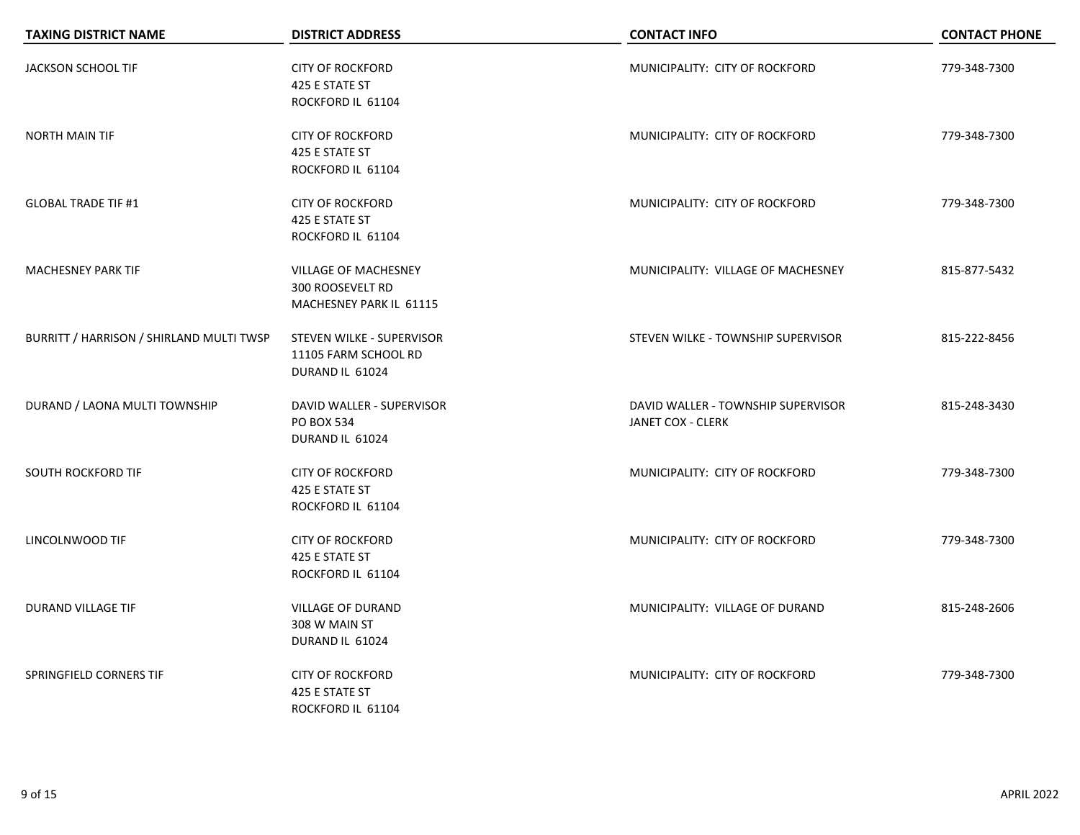| <b>TAXING DISTRICT NAME</b>              | <b>DISTRICT ADDRESS</b>                                                           | <b>CONTACT INFO</b>                                     | <b>CONTACT PHONE</b> |
|------------------------------------------|-----------------------------------------------------------------------------------|---------------------------------------------------------|----------------------|
| JACKSON SCHOOL TIF                       | <b>CITY OF ROCKFORD</b><br>425 E STATE ST<br>ROCKFORD IL 61104                    | MUNICIPALITY: CITY OF ROCKFORD                          | 779-348-7300         |
| <b>NORTH MAIN TIF</b>                    | <b>CITY OF ROCKFORD</b><br>425 E STATE ST<br>ROCKFORD IL 61104                    | MUNICIPALITY: CITY OF ROCKFORD                          | 779-348-7300         |
| <b>GLOBAL TRADE TIF #1</b>               | <b>CITY OF ROCKFORD</b><br>425 E STATE ST<br>ROCKFORD IL 61104                    | MUNICIPALITY: CITY OF ROCKFORD                          | 779-348-7300         |
| <b>MACHESNEY PARK TIF</b>                | <b>VILLAGE OF MACHESNEY</b><br><b>300 ROOSEVELT RD</b><br>MACHESNEY PARK IL 61115 | MUNICIPALITY: VILLAGE OF MACHESNEY                      | 815-877-5432         |
| BURRITT / HARRISON / SHIRLAND MULTI TWSP | STEVEN WILKE - SUPERVISOR<br>11105 FARM SCHOOL RD<br>DURAND IL 61024              | STEVEN WILKE - TOWNSHIP SUPERVISOR                      | 815-222-8456         |
| DURAND / LAONA MULTI TOWNSHIP            | DAVID WALLER - SUPERVISOR<br>PO BOX 534<br>DURAND IL 61024                        | DAVID WALLER - TOWNSHIP SUPERVISOR<br>JANET COX - CLERK | 815-248-3430         |
| <b>SOUTH ROCKFORD TIF</b>                | <b>CITY OF ROCKFORD</b><br>425 E STATE ST<br>ROCKFORD IL 61104                    | MUNICIPALITY: CITY OF ROCKFORD                          | 779-348-7300         |
| LINCOLNWOOD TIF                          | <b>CITY OF ROCKFORD</b><br>425 E STATE ST<br>ROCKFORD IL 61104                    | MUNICIPALITY: CITY OF ROCKFORD                          | 779-348-7300         |
| DURAND VILLAGE TIF                       | <b>VILLAGE OF DURAND</b><br>308 W MAIN ST<br>DURAND IL 61024                      | MUNICIPALITY: VILLAGE OF DURAND                         | 815-248-2606         |
| SPRINGFIELD CORNERS TIF                  | <b>CITY OF ROCKFORD</b><br>425 E STATE ST<br>ROCKFORD IL 61104                    | MUNICIPALITY: CITY OF ROCKFORD                          | 779-348-7300         |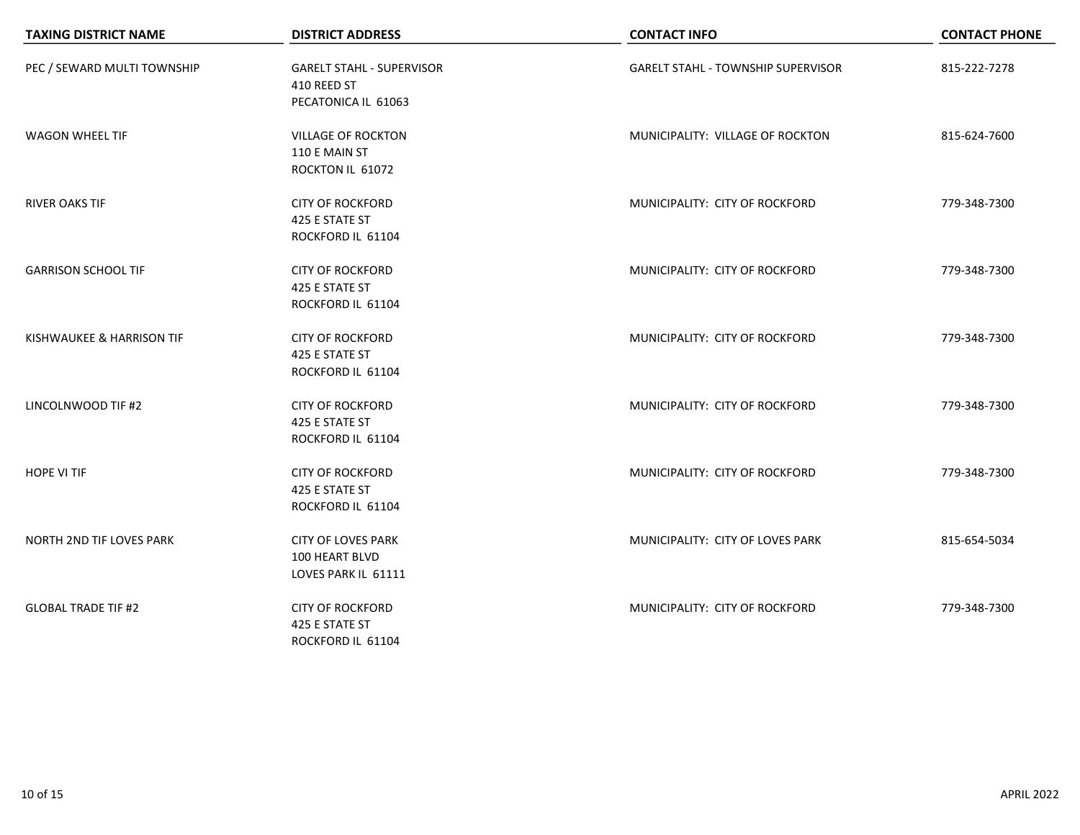| <b>TAXING DISTRICT NAME</b> | <b>DISTRICT ADDRESS</b>                                                | <b>CONTACT INFO</b>                       | <b>CONTACT PHONE</b> |
|-----------------------------|------------------------------------------------------------------------|-------------------------------------------|----------------------|
| PEC / SEWARD MULTI TOWNSHIP | <b>GARELT STAHL - SUPERVISOR</b><br>410 REED ST<br>PECATONICA IL 61063 | <b>GARELT STAHL - TOWNSHIP SUPERVISOR</b> | 815-222-7278         |
| <b>WAGON WHEEL TIF</b>      | <b>VILLAGE OF ROCKTON</b><br>110 E MAIN ST<br>ROCKTON IL 61072         | MUNICIPALITY: VILLAGE OF ROCKTON          | 815-624-7600         |
| <b>RIVER OAKS TIF</b>       | <b>CITY OF ROCKFORD</b><br>425 E STATE ST<br>ROCKFORD IL 61104         | MUNICIPALITY: CITY OF ROCKFORD            | 779-348-7300         |
| <b>GARRISON SCHOOL TIF</b>  | <b>CITY OF ROCKFORD</b><br>425 E STATE ST<br>ROCKFORD IL 61104         | MUNICIPALITY: CITY OF ROCKFORD            | 779-348-7300         |
| KISHWAUKEE & HARRISON TIF   | <b>CITY OF ROCKFORD</b><br>425 E STATE ST<br>ROCKFORD IL 61104         | MUNICIPALITY: CITY OF ROCKFORD            | 779-348-7300         |
| LINCOLNWOOD TIF #2          | <b>CITY OF ROCKFORD</b><br>425 E STATE ST<br>ROCKFORD IL 61104         | MUNICIPALITY: CITY OF ROCKFORD            | 779-348-7300         |
| <b>HOPE VI TIF</b>          | <b>CITY OF ROCKFORD</b><br>425 E STATE ST<br>ROCKFORD IL 61104         | MUNICIPALITY: CITY OF ROCKFORD            | 779-348-7300         |
| NORTH 2ND TIF LOVES PARK    | <b>CITY OF LOVES PARK</b><br>100 HEART BLVD<br>LOVES PARK IL 61111     | MUNICIPALITY: CITY OF LOVES PARK          | 815-654-5034         |
| <b>GLOBAL TRADE TIF #2</b>  | <b>CITY OF ROCKFORD</b><br>425 E STATE ST<br>ROCKFORD IL 61104         | MUNICIPALITY: CITY OF ROCKFORD            | 779-348-7300         |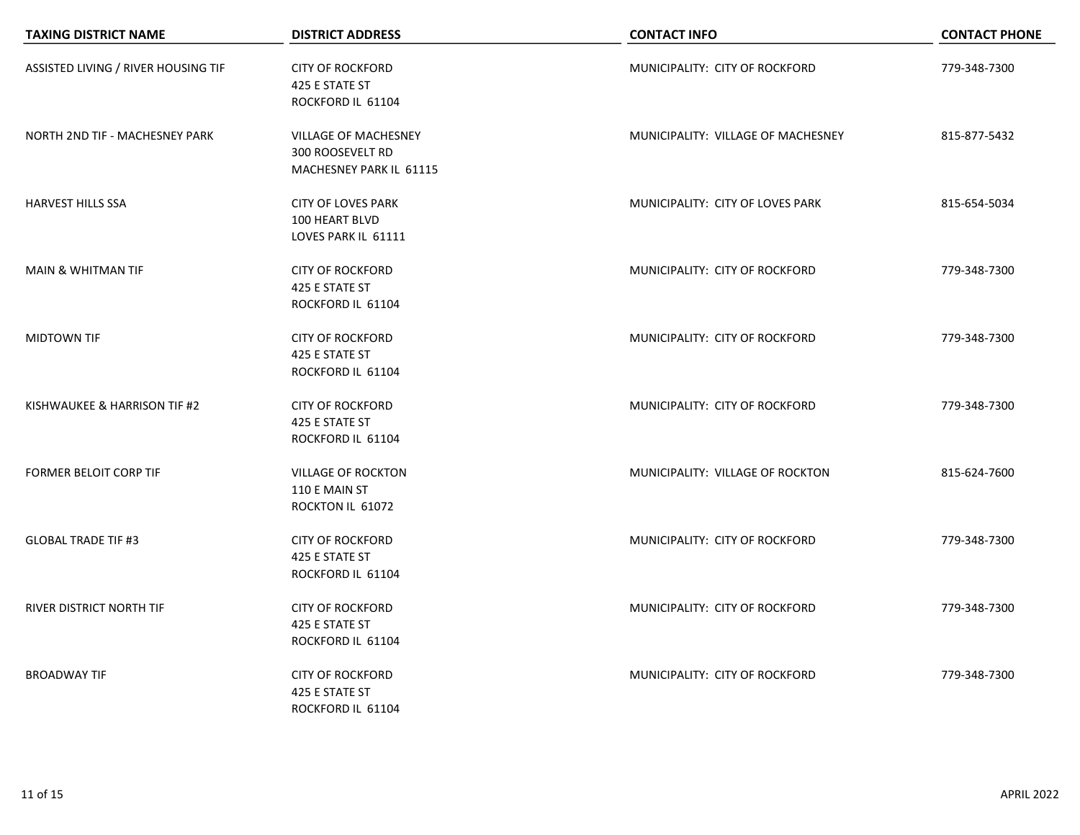| <b>TAXING DISTRICT NAME</b>         | <b>DISTRICT ADDRESS</b>                                                           | <b>CONTACT INFO</b>                | <b>CONTACT PHONE</b> |
|-------------------------------------|-----------------------------------------------------------------------------------|------------------------------------|----------------------|
| ASSISTED LIVING / RIVER HOUSING TIF | <b>CITY OF ROCKFORD</b><br>425 E STATE ST<br>ROCKFORD IL 61104                    | MUNICIPALITY: CITY OF ROCKFORD     | 779-348-7300         |
| NORTH 2ND TIF - MACHESNEY PARK      | <b>VILLAGE OF MACHESNEY</b><br><b>300 ROOSEVELT RD</b><br>MACHESNEY PARK IL 61115 | MUNICIPALITY: VILLAGE OF MACHESNEY | 815-877-5432         |
| <b>HARVEST HILLS SSA</b>            | <b>CITY OF LOVES PARK</b><br>100 HEART BLVD<br>LOVES PARK IL 61111                | MUNICIPALITY: CITY OF LOVES PARK   | 815-654-5034         |
| <b>MAIN &amp; WHITMAN TIF</b>       | <b>CITY OF ROCKFORD</b><br>425 E STATE ST<br>ROCKFORD IL 61104                    | MUNICIPALITY: CITY OF ROCKFORD     | 779-348-7300         |
| MIDTOWN TIF                         | <b>CITY OF ROCKFORD</b><br>425 E STATE ST<br>ROCKFORD IL 61104                    | MUNICIPALITY: CITY OF ROCKFORD     | 779-348-7300         |
| KISHWAUKEE & HARRISON TIF #2        | <b>CITY OF ROCKFORD</b><br>425 E STATE ST<br>ROCKFORD IL 61104                    | MUNICIPALITY: CITY OF ROCKFORD     | 779-348-7300         |
| <b>FORMER BELOIT CORP TIF</b>       | <b>VILLAGE OF ROCKTON</b><br>110 E MAIN ST<br>ROCKTON IL 61072                    | MUNICIPALITY: VILLAGE OF ROCKTON   | 815-624-7600         |
| <b>GLOBAL TRADE TIF #3</b>          | <b>CITY OF ROCKFORD</b><br>425 E STATE ST<br>ROCKFORD IL 61104                    | MUNICIPALITY: CITY OF ROCKFORD     | 779-348-7300         |
| RIVER DISTRICT NORTH TIF            | <b>CITY OF ROCKFORD</b><br>425 E STATE ST<br>ROCKFORD IL 61104                    | MUNICIPALITY: CITY OF ROCKFORD     | 779-348-7300         |
| <b>BROADWAY TIF</b>                 | <b>CITY OF ROCKFORD</b><br>425 E STATE ST<br>ROCKFORD IL 61104                    | MUNICIPALITY: CITY OF ROCKFORD     | 779-348-7300         |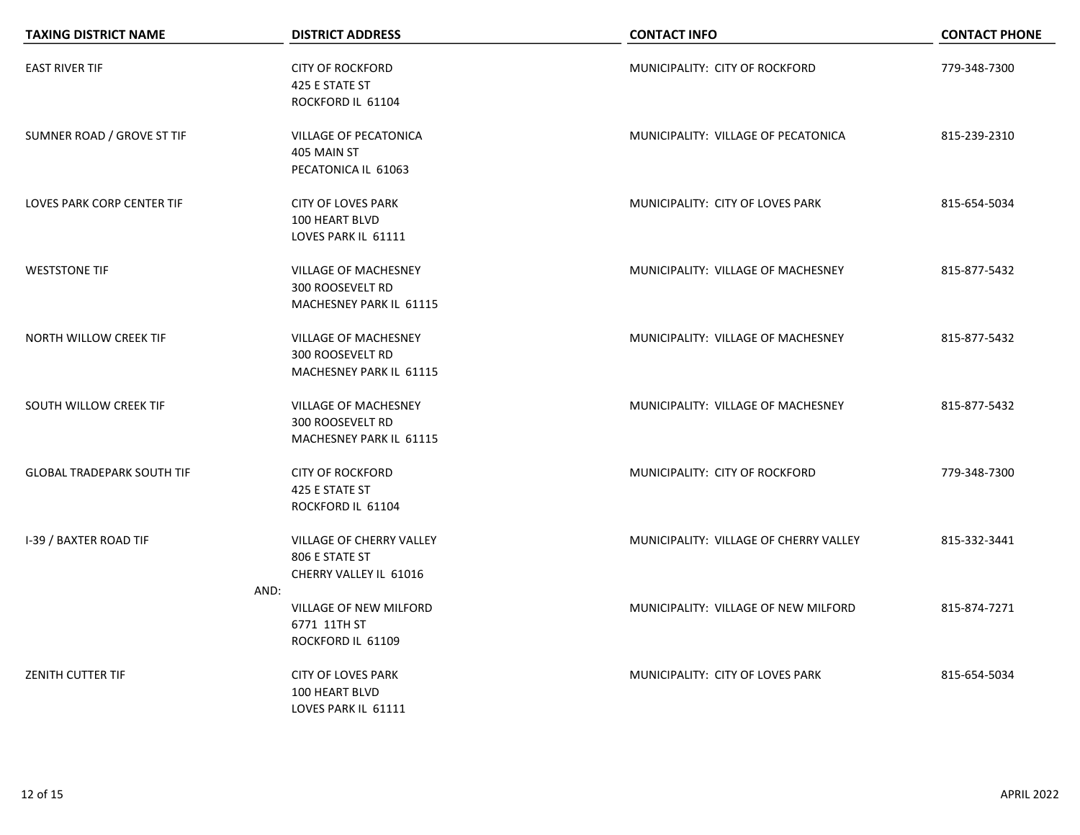| <b>TAXING DISTRICT NAME</b>       | <b>DISTRICT ADDRESS</b>                                                           | <b>CONTACT INFO</b>                    | <b>CONTACT PHONE</b> |
|-----------------------------------|-----------------------------------------------------------------------------------|----------------------------------------|----------------------|
| <b>EAST RIVER TIF</b>             | <b>CITY OF ROCKFORD</b><br>425 E STATE ST<br>ROCKFORD IL 61104                    | MUNICIPALITY: CITY OF ROCKFORD         | 779-348-7300         |
| SUMNER ROAD / GROVE ST TIF        | <b>VILLAGE OF PECATONICA</b><br>405 MAIN ST<br>PECATONICA IL 61063                | MUNICIPALITY: VILLAGE OF PECATONICA    | 815-239-2310         |
| LOVES PARK CORP CENTER TIF        | <b>CITY OF LOVES PARK</b><br>100 HEART BLVD<br>LOVES PARK IL 61111                | MUNICIPALITY: CITY OF LOVES PARK       | 815-654-5034         |
| <b>WESTSTONE TIF</b>              | <b>VILLAGE OF MACHESNEY</b><br>300 ROOSEVELT RD<br>MACHESNEY PARK IL 61115        | MUNICIPALITY: VILLAGE OF MACHESNEY     | 815-877-5432         |
| NORTH WILLOW CREEK TIF            | <b>VILLAGE OF MACHESNEY</b><br><b>300 ROOSEVELT RD</b><br>MACHESNEY PARK IL 61115 | MUNICIPALITY: VILLAGE OF MACHESNEY     | 815-877-5432         |
| SOUTH WILLOW CREEK TIF            | <b>VILLAGE OF MACHESNEY</b><br><b>300 ROOSEVELT RD</b><br>MACHESNEY PARK IL 61115 | MUNICIPALITY: VILLAGE OF MACHESNEY     | 815-877-5432         |
| <b>GLOBAL TRADEPARK SOUTH TIF</b> | <b>CITY OF ROCKFORD</b><br>425 E STATE ST<br>ROCKFORD IL 61104                    | MUNICIPALITY: CITY OF ROCKFORD         | 779-348-7300         |
| <b>I-39 / BAXTER ROAD TIF</b>     | <b>VILLAGE OF CHERRY VALLEY</b><br>806 E STATE ST<br>CHERRY VALLEY IL 61016       | MUNICIPALITY: VILLAGE OF CHERRY VALLEY | 815-332-3441         |
|                                   | AND:<br>VILLAGE OF NEW MILFORD<br>6771 11TH ST<br>ROCKFORD IL 61109               | MUNICIPALITY: VILLAGE OF NEW MILFORD   | 815-874-7271         |
| ZENITH CUTTER TIF                 | <b>CITY OF LOVES PARK</b><br>100 HEART BLVD<br>LOVES PARK IL 61111                | MUNICIPALITY: CITY OF LOVES PARK       | 815-654-5034         |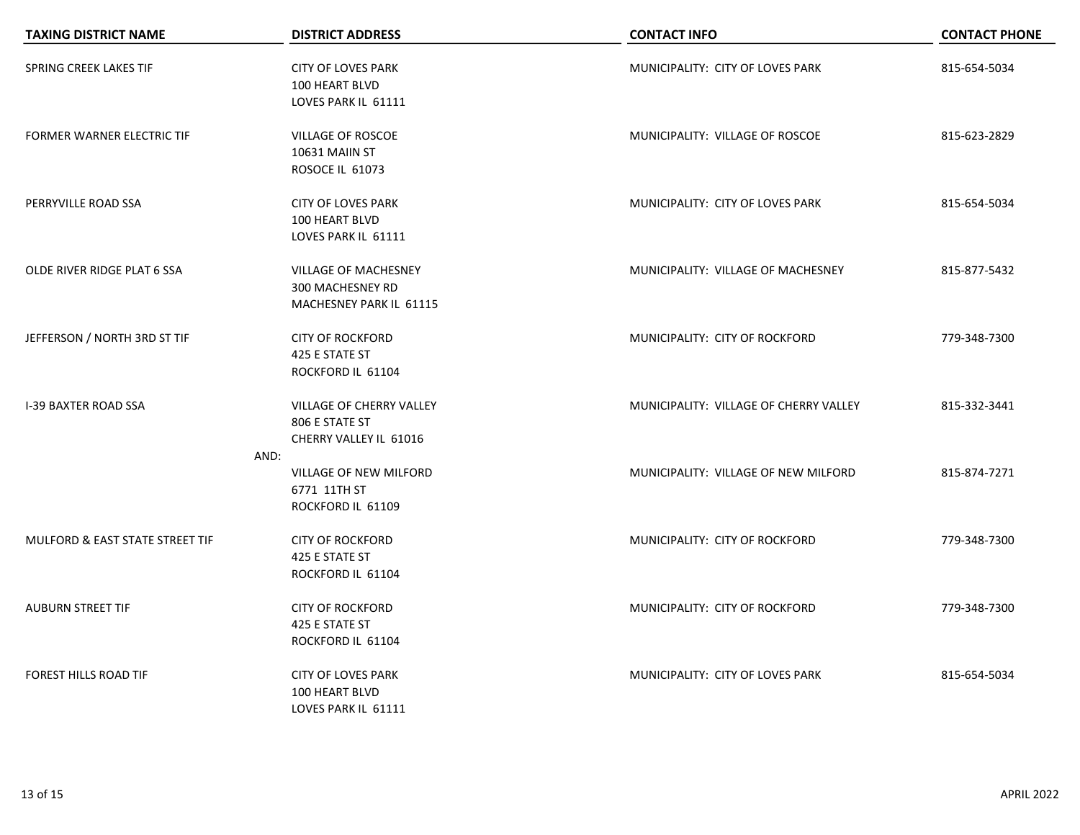| <b>TAXING DISTRICT NAME</b>       | <b>DISTRICT ADDRESS</b>                                                    | <b>CONTACT INFO</b>                    | <b>CONTACT PHONE</b> |
|-----------------------------------|----------------------------------------------------------------------------|----------------------------------------|----------------------|
| SPRING CREEK LAKES TIF            | <b>CITY OF LOVES PARK</b><br>100 HEART BLVD<br>LOVES PARK IL 61111         | MUNICIPALITY: CITY OF LOVES PARK       | 815-654-5034         |
| <b>FORMER WARNER ELECTRIC TIF</b> | VILLAGE OF ROSCOE<br>10631 MAIIN ST<br>ROSOCE IL 61073                     | MUNICIPALITY: VILLAGE OF ROSCOE        | 815-623-2829         |
| PERRYVILLE ROAD SSA               | <b>CITY OF LOVES PARK</b><br>100 HEART BLVD<br>LOVES PARK IL 61111         | MUNICIPALITY: CITY OF LOVES PARK       | 815-654-5034         |
| OLDE RIVER RIDGE PLAT 6 SSA       | <b>VILLAGE OF MACHESNEY</b><br>300 MACHESNEY RD<br>MACHESNEY PARK IL 61115 | MUNICIPALITY: VILLAGE OF MACHESNEY     | 815-877-5432         |
| JEFFERSON / NORTH 3RD ST TIF      | <b>CITY OF ROCKFORD</b><br>425 E STATE ST<br>ROCKFORD IL 61104             | MUNICIPALITY: CITY OF ROCKFORD         | 779-348-7300         |
| <b>I-39 BAXTER ROAD SSA</b>       | VILLAGE OF CHERRY VALLEY<br>806 E STATE ST<br>CHERRY VALLEY IL 61016       | MUNICIPALITY: VILLAGE OF CHERRY VALLEY | 815-332-3441         |
|                                   | AND:<br>VILLAGE OF NEW MILFORD<br>6771 11TH ST<br>ROCKFORD IL 61109        | MUNICIPALITY: VILLAGE OF NEW MILFORD   | 815-874-7271         |
| MULFORD & EAST STATE STREET TIF   | <b>CITY OF ROCKFORD</b><br>425 E STATE ST<br>ROCKFORD IL 61104             | MUNICIPALITY: CITY OF ROCKFORD         | 779-348-7300         |
| <b>AUBURN STREET TIF</b>          | <b>CITY OF ROCKFORD</b><br>425 E STATE ST<br>ROCKFORD IL 61104             | MUNICIPALITY: CITY OF ROCKFORD         | 779-348-7300         |
| FOREST HILLS ROAD TIF             | <b>CITY OF LOVES PARK</b><br>100 HEART BLVD<br>LOVES PARK IL 61111         | MUNICIPALITY: CITY OF LOVES PARK       | 815-654-5034         |

 $\overline{\phantom{0}}$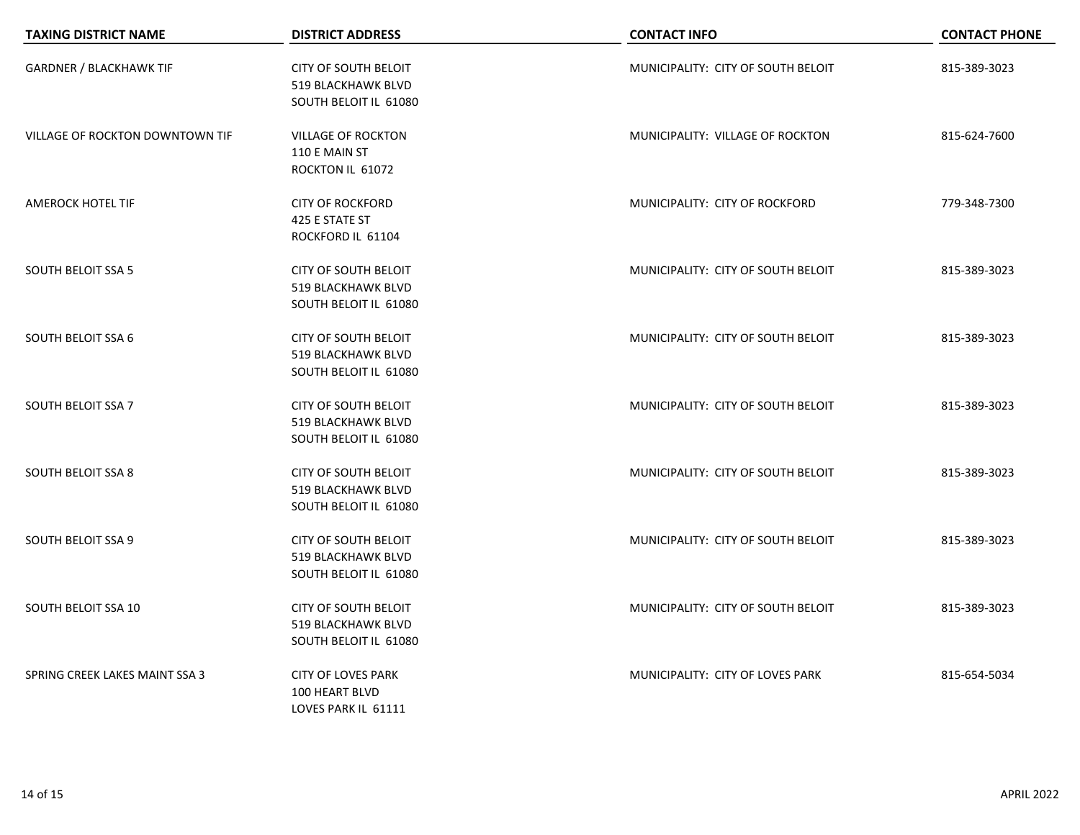| <b>TAXING DISTRICT NAME</b>     | <b>DISTRICT ADDRESS</b>                                                           | <b>CONTACT INFO</b>                | <b>CONTACT PHONE</b> |
|---------------------------------|-----------------------------------------------------------------------------------|------------------------------------|----------------------|
| <b>GARDNER / BLACKHAWK TIF</b>  | <b>CITY OF SOUTH BELOIT</b><br><b>519 BLACKHAWK BLVD</b><br>SOUTH BELOIT IL 61080 | MUNICIPALITY: CITY OF SOUTH BELOIT | 815-389-3023         |
| VILLAGE OF ROCKTON DOWNTOWN TIF | <b>VILLAGE OF ROCKTON</b><br>110 E MAIN ST<br>ROCKTON IL 61072                    | MUNICIPALITY: VILLAGE OF ROCKTON   | 815-624-7600         |
| <b>AMEROCK HOTEL TIF</b>        | <b>CITY OF ROCKFORD</b><br>425 E STATE ST<br>ROCKFORD IL 61104                    | MUNICIPALITY: CITY OF ROCKFORD     | 779-348-7300         |
| <b>SOUTH BELOIT SSA 5</b>       | <b>CITY OF SOUTH BELOIT</b><br>519 BLACKHAWK BLVD<br>SOUTH BELOIT IL 61080        | MUNICIPALITY: CITY OF SOUTH BELOIT | 815-389-3023         |
| <b>SOUTH BELOIT SSA 6</b>       | <b>CITY OF SOUTH BELOIT</b><br>519 BLACKHAWK BLVD<br>SOUTH BELOIT IL 61080        | MUNICIPALITY: CITY OF SOUTH BELOIT | 815-389-3023         |
| <b>SOUTH BELOIT SSA 7</b>       | <b>CITY OF SOUTH BELOIT</b><br>519 BLACKHAWK BLVD<br>SOUTH BELOIT IL 61080        | MUNICIPALITY: CITY OF SOUTH BELOIT | 815-389-3023         |
| <b>SOUTH BELOIT SSA 8</b>       | <b>CITY OF SOUTH BELOIT</b><br>519 BLACKHAWK BLVD<br>SOUTH BELOIT IL 61080        | MUNICIPALITY: CITY OF SOUTH BELOIT | 815-389-3023         |
| <b>SOUTH BELOIT SSA 9</b>       | <b>CITY OF SOUTH BELOIT</b><br>519 BLACKHAWK BLVD<br>SOUTH BELOIT IL 61080        | MUNICIPALITY: CITY OF SOUTH BELOIT | 815-389-3023         |
| SOUTH BELOIT SSA 10             | CITY OF SOUTH BELOIT<br><b>519 BLACKHAWK BLVD</b><br>SOUTH BELOIT IL 61080        | MUNICIPALITY: CITY OF SOUTH BELOIT | 815-389-3023         |
| SPRING CREEK LAKES MAINT SSA 3  | <b>CITY OF LOVES PARK</b><br>100 HEART BLVD<br>LOVES PARK IL 61111                | MUNICIPALITY: CITY OF LOVES PARK   | 815-654-5034         |